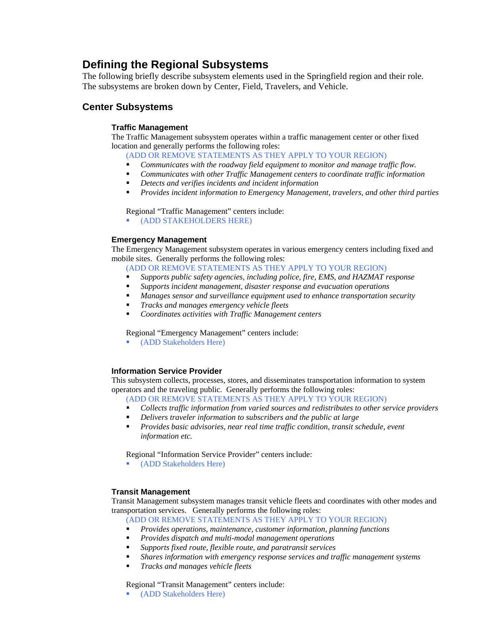# **Defining the Regional Subsystems**

The following briefly describe subsystem elements used in the Springfield region and their role. The subsystems are broken down by Center, Field, Travelers, and Vehicle.

# **Center Subsystems**

### **Traffic Management**

The Traffic Management subsystem operates within a traffic management center or other fixed location and generally performs the following roles:

(ADD OR REMOVE STATEMENTS AS THEY APPLY TO YOUR REGION)

- *Communicates with the roadway field equipment to monitor and manage traffic flow.*
- *Communicates with other Traffic Management centers to coordinate traffic information*
- *Detects and verifies incidents and incident information*
- *Provides incident information to Emergency Management, travelers, and other third parties*

Regional "Traffic Management" centers include:

(ADD STAKEHOLDERS HERE)

#### **Emergency Management**

The Emergency Management subsystem operates in various emergency centers including fixed and mobile sites. Generally performs the following roles:

(ADD OR REMOVE STATEMENTS AS THEY APPLY TO YOUR REGION)

- *Supports public safety agencies, including police, fire, EMS, and HAZMAT response*
- *Supports incident management, disaster response and evacuation operations*
- *Manages sensor and surveillance equipment used to enhance transportation security*
- *Tracks and manages emergency vehicle fleets*
- *Coordinates activities with Traffic Management centers*

Regional "Emergency Management" centers include:

(ADD Stakeholders Here)

#### **Information Service Provider**

This subsystem collects, processes, stores, and disseminates transportation information to system operators and the traveling public. Generally performs the following roles:

(ADD OR REMOVE STATEMENTS AS THEY APPLY TO YOUR REGION)

- *Collects traffic information from varied sources and redistributes to other service providers*
- *Delivers traveler information to subscribers and the public at large*
- *Provides basic advisories, near real time traffic condition, transit schedule, event information etc.*

Regional "Information Service Provider" centers include:

(ADD Stakeholders Here)

#### **Transit Management**

Transit Management subsystem manages transit vehicle fleets and coordinates with other modes and transportation services. Generally performs the following roles:

(ADD OR REMOVE STATEMENTS AS THEY APPLY TO YOUR REGION)

- *Provides operations, maintenance, customer information, planning functions*
- *Provides dispatch and multi-modal management operations*
- *Supports fixed route, flexible route, and paratransit services*
- *Shares information with emergency response services and traffic management systems*
- *Tracks and manages vehicle fleets*

Regional "Transit Management" centers include:

(ADD Stakeholders Here)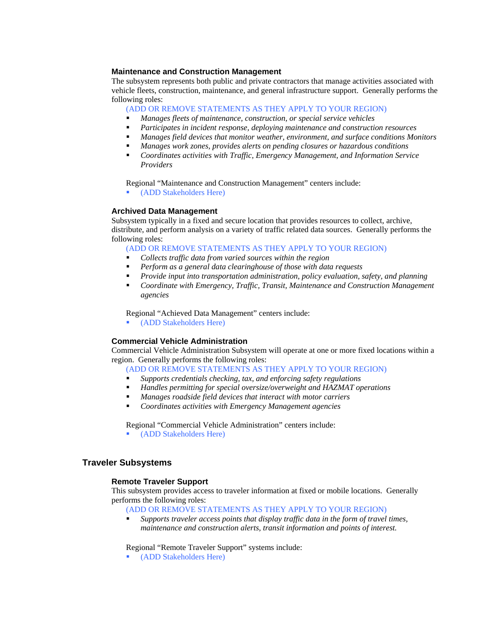#### **Maintenance and Construction Management**

The subsystem represents both public and private contractors that manage activities associated with vehicle fleets, construction, maintenance, and general infrastructure support. Generally performs the following roles:

(ADD OR REMOVE STATEMENTS AS THEY APPLY TO YOUR REGION)

- *Manages fleets of maintenance, construction, or special service vehicles*
- *Participates in incident response, deploying maintenance and construction resources*
- *Manages field devices that monitor weather, environment, and surface conditions Monitors*
- *Manages work zones, provides alerts on pending closures or hazardous conditions*
- *Coordinates activities with Traffic, Emergency Management, and Information Service Providers*

Regional "Maintenance and Construction Management" centers include:

(ADD Stakeholders Here)

#### **Archived Data Management**

Subsystem typically in a fixed and secure location that provides resources to collect, archive, distribute, and perform analysis on a variety of traffic related data sources. Generally performs the following roles:

(ADD OR REMOVE STATEMENTS AS THEY APPLY TO YOUR REGION)

- *Collects traffic data from varied sources within the region*
- *Perform as a general data clearinghouse of those with data requests*
- *Provide input into transportation administration, policy evaluation, safety, and planning*
- *Coordinate with Emergency, Traffic, Transit, Maintenance and Construction Management agencies*

Regional "Achieved Data Management" centers include:

(ADD Stakeholders Here)

#### **Commercial Vehicle Administration**

Commercial Vehicle Administration Subsystem will operate at one or more fixed locations within a region. Generally performs the following roles:

- (ADD OR REMOVE STATEMENTS AS THEY APPLY TO YOUR REGION)
- *Supports credentials checking, tax, and enforcing safety regulations*
- *Handles permitting for special oversize/overweight and HAZMAT operations*
- *Manages roadside field devices that interact with motor carriers*
- *Coordinates activities with Emergency Management agencies*

Regional "Commercial Vehicle Administration" centers include:

(ADD Stakeholders Here)

#### **Traveler Subsystems**

#### **Remote Traveler Support**

This subsystem provides access to traveler information at fixed or mobile locations. Generally performs the following roles:

(ADD OR REMOVE STATEMENTS AS THEY APPLY TO YOUR REGION)

 *Supports traveler access points that display traffic data in the form of travel times, maintenance and construction alerts, transit information and points of interest.*

Regional "Remote Traveler Support" systems include:

**•** (ADD Stakeholders Here)